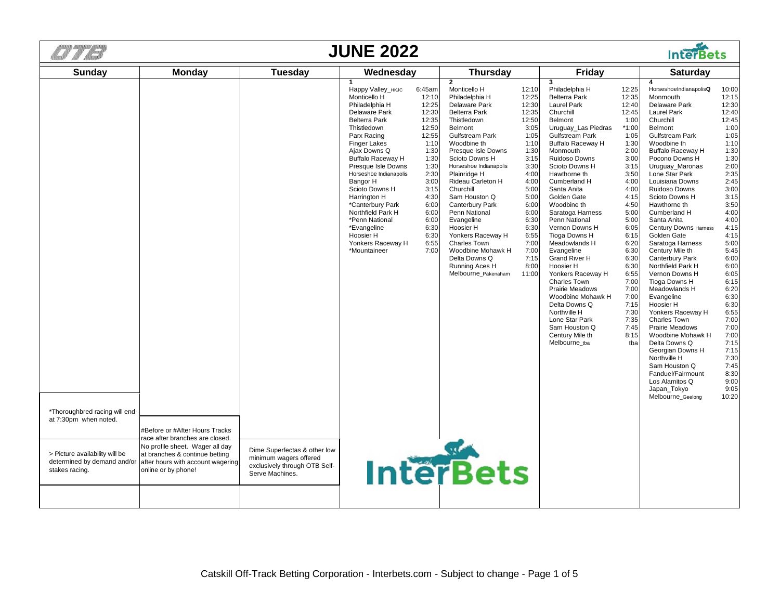| 775                                                                                                                                       |                                                                                                                                                                                                    |                                                                                                            | <b>JUNE 2022</b>                                                                                                                                                                                                                                                                                                                                                                                                                                  |                                                                                                                                                                                                                                                                                                                                                                                                                                                                                                                                                                                                                                                                                             | InterBets                                                                                                                                                                                                  |                                                                                                                                                                                                                                                                                                                                                                                                                                                                                                                                                                                                                                     |                                                                                                                                                                                                                                                                                    |                                                                                                                                                                                                                                                                                                                                                                                                                                                                                                                                                                                                                                                                                                                                                                                           |                                                                                                                                                                                                                                                                                                                                            |  |
|-------------------------------------------------------------------------------------------------------------------------------------------|----------------------------------------------------------------------------------------------------------------------------------------------------------------------------------------------------|------------------------------------------------------------------------------------------------------------|---------------------------------------------------------------------------------------------------------------------------------------------------------------------------------------------------------------------------------------------------------------------------------------------------------------------------------------------------------------------------------------------------------------------------------------------------|---------------------------------------------------------------------------------------------------------------------------------------------------------------------------------------------------------------------------------------------------------------------------------------------------------------------------------------------------------------------------------------------------------------------------------------------------------------------------------------------------------------------------------------------------------------------------------------------------------------------------------------------------------------------------------------------|------------------------------------------------------------------------------------------------------------------------------------------------------------------------------------------------------------|-------------------------------------------------------------------------------------------------------------------------------------------------------------------------------------------------------------------------------------------------------------------------------------------------------------------------------------------------------------------------------------------------------------------------------------------------------------------------------------------------------------------------------------------------------------------------------------------------------------------------------------|------------------------------------------------------------------------------------------------------------------------------------------------------------------------------------------------------------------------------------------------------------------------------------|-------------------------------------------------------------------------------------------------------------------------------------------------------------------------------------------------------------------------------------------------------------------------------------------------------------------------------------------------------------------------------------------------------------------------------------------------------------------------------------------------------------------------------------------------------------------------------------------------------------------------------------------------------------------------------------------------------------------------------------------------------------------------------------------|--------------------------------------------------------------------------------------------------------------------------------------------------------------------------------------------------------------------------------------------------------------------------------------------------------------------------------------------|--|
| Sunday                                                                                                                                    | <b>Monday</b>                                                                                                                                                                                      | <b>Tuesday</b>                                                                                             | Wednesday<br><b>Thursday</b>                                                                                                                                                                                                                                                                                                                                                                                                                      |                                                                                                                                                                                                                                                                                                                                                                                                                                                                                                                                                                                                                                                                                             |                                                                                                                                                                                                            | Friday                                                                                                                                                                                                                                                                                                                                                                                                                                                                                                                                                                                                                              |                                                                                                                                                                                                                                                                                    | Saturday                                                                                                                                                                                                                                                                                                                                                                                                                                                                                                                                                                                                                                                                                                                                                                                  |                                                                                                                                                                                                                                                                                                                                            |  |
| *Thoroughbred racing will end<br>at 7:30pm when noted.<br>> Picture availability will be<br>determined by demand and/or<br>stakes racing. | #Before or #After Hours Tracks<br>race after branches are closed.<br>No profile sheet. Wager all day<br>at branches & continue betting<br>after hours with account wagering<br>online or by phone! | Dime Superfectas & other low<br>minimum wagers offered<br>exclusively through OTB Self-<br>Serve Machines. | $\mathbf{1}$<br><b>Нарру Valley нклс</b><br>6:45am<br>Monticello H<br>Philadelphia H<br>Delaware Park<br><b>Belterra Park</b><br>Thistledown<br>Parx Racing<br><b>Finger Lakes</b><br>Ajax Downs Q<br>Buffalo Raceway H<br>Presque Isle Downs<br>Horseshoe Indianapolis<br>Bangor H<br>Scioto Downs H<br>Harrington H<br>*Canterbury Park<br>Northfield Park H<br>*Penn National<br>*Evangeline<br>Hoosier H<br>Yonkers Raceway H<br>*Mountaineer | $\mathbf{2}$<br>Monticello H<br>12:10<br>Philadelphia H<br>12:25<br>Delaware Park<br>12:30<br><b>Belterra Park</b><br>12:35<br>Thistledown<br>12:50<br>Belmont<br>12:55<br>Gulfstream Park<br>Woodbine th<br>1:10<br>1:30<br>Presque Isle Downs<br>1:30<br>Scioto Downs H<br>1:30<br>Horseshoe Indianapolis<br>2:30<br>Plainridge H<br>Rideau Carleton H<br>3:00<br>Churchill<br>3:15<br>4:30<br>Sam Houston Q<br>6:00<br><b>Canterbury Park</b><br>Penn National<br>6:00<br>6:00<br>Evangeline<br>6:30<br>Hoosier H<br>6:30<br>Yonkers Raceway H<br>6:55<br><b>Charles Town</b><br>Woodbine Mohawk H<br>7:00<br>Delta Downs Q<br>Running Aces H<br>Melbourne_Pakenaham<br><b>InterBets</b> | 12:10<br>12:25<br>12:30<br>12:35<br>12:50<br>3:05<br>1:05<br>1:10<br>1:30<br>3:15<br>3:30<br>4:00<br>4:00<br>5:00<br>5:00<br>6:00<br>6:00<br>6:30<br>6:30<br>6:55<br>7:00<br>7:00<br>7:15<br>8:00<br>11:00 | 3<br>Philadelphia H<br><b>Belterra Park</b><br>Laurel Park<br>Churchill<br>Belmont<br>Uruguay_Las Piedras<br><b>Gulfstream Park</b><br>Buffalo Raceway H<br>Monmouth<br>Ruidoso Downs<br>Scioto Downs H<br>Hawthorne th<br>Cumberland H<br>Santa Anita<br>Golden Gate<br>Woodbine th<br>Saratoga Harness<br>Penn National<br>Vernon Downs H<br>Tioga Downs H<br>Meadowlands H<br>Evangeline<br><b>Grand River H</b><br>Hoosier H<br>Yonkers Raceway H<br><b>Charles Town</b><br><b>Prairie Meadows</b><br>Woodbine Mohawk H<br>Delta Downs Q<br>Northville H<br>Lone Star Park<br>Sam Houston Q<br>Century Mile th<br>Melbourne_tba | 12:25<br>12:35<br>12:40<br>12:45<br>1:00<br>$*1:00$<br>1:05<br>1:30<br>2:00<br>3:00<br>3:15<br>3:50<br>4:00<br>4:00<br>4:15<br>4:50<br>5:00<br>5:00<br>6:05<br>6:15<br>6:20<br>6:30<br>6:30<br>6:30<br>6:55<br>7:00<br>7:00<br>7:00<br>7:15<br>7:30<br>7:35<br>7:45<br>8:15<br>tba | 4<br>HorseshoeIndianapolisQ<br>Monmouth<br>Delaware Park<br>Laurel Park<br>Churchill<br><b>Belmont</b><br>Gulfstream Park<br>Woodbine th<br><b>Buffalo Raceway H</b><br>Pocono Downs H<br>Uruguay Maronas<br>Lone Star Park<br>Louisiana Downs<br>Ruidoso Downs<br>Scioto Downs H<br>Hawthorne th<br>Cumberland H<br>Santa Anita<br><b>Century Downs Harness</b><br>Golden Gate<br>Saratoga Harness<br>Century Mile th<br><b>Canterbury Park</b><br>Northfield Park H<br>Vernon Downs H<br>Tioga Downs H<br>Meadowlands H<br>Evangeline<br>Hoosier H<br>Yonkers Raceway H<br>Charles Town<br><b>Prairie Meadows</b><br>Woodbine Mohawk H<br>Delta Downs Q<br>Georgian Downs H<br>Northville H<br>Sam Houston Q<br>Fanduel/Fairmount<br>Los Alamitos Q<br>Japan Tokyo<br>Melbourne_Geelong | 10:00<br>12:15<br>12:30<br>12:40<br>12:45<br>1:00<br>1:05<br>1:10<br>1:30<br>1:30<br>2:00<br>2:35<br>2:45<br>3:00<br>3:15<br>3:50<br>4:00<br>4:00<br>4:15<br>4:15<br>5:00<br>5:45<br>6:00<br>6:00<br>6:05<br>6:15<br>6:20<br>6:30<br>6:30<br>6:55<br>7:00<br>7:00<br>7:00<br>7:15<br>7:15<br>7:30<br>7:45<br>8:30<br>9:00<br>9:05<br>10:20 |  |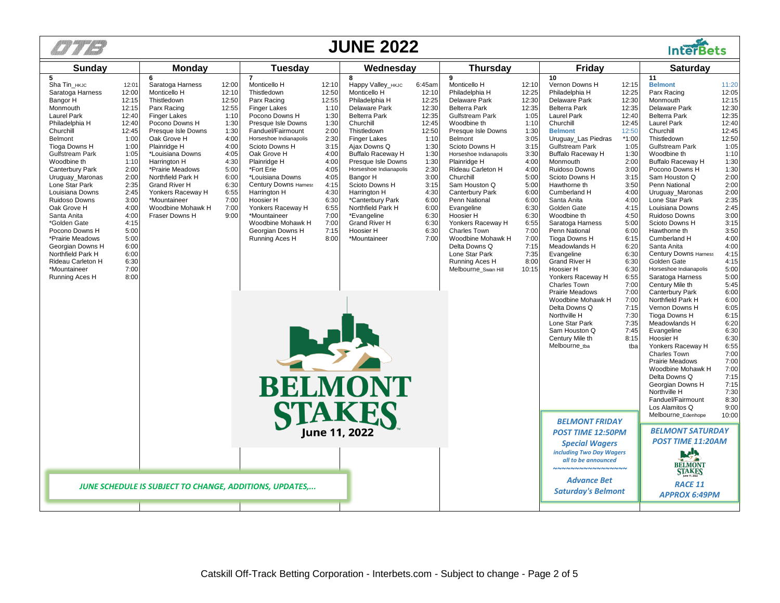| 775                                                                                                                                                                                                                                                                                                                                                                                                                                                                                   |                                                                                                                                                                                                                     |                                                                                                                                                                                                                                                                                                                                                    |                                                                                                                                                  |                                                                                                                                                                                                                                                                                                                                                                                                                            |                                                                                                                                                                         |                                                                                                                                                                                                                                                                                                                                                                                                                                                |                                                                                                                                                                              |                                                                                                                                                                                                                                                                                                                                                                                                                                                                                          | <b>InterBets</b>                                                                                                                                                                                          |                                                                                                                                                                                                                                                                                                                                                                                                                                                                                                                                                                                                                                                                                                                                                          |                                                                                                                                                                                                                                                                                               |                                                                                                                                                                                                                                                                                                                                                                                                                                                                                                                                                                                                                                                                                                                                                                                                                                                                                                            |                                                                                                                                                                                                                                                                                                                                                                       |
|---------------------------------------------------------------------------------------------------------------------------------------------------------------------------------------------------------------------------------------------------------------------------------------------------------------------------------------------------------------------------------------------------------------------------------------------------------------------------------------|---------------------------------------------------------------------------------------------------------------------------------------------------------------------------------------------------------------------|----------------------------------------------------------------------------------------------------------------------------------------------------------------------------------------------------------------------------------------------------------------------------------------------------------------------------------------------------|--------------------------------------------------------------------------------------------------------------------------------------------------|----------------------------------------------------------------------------------------------------------------------------------------------------------------------------------------------------------------------------------------------------------------------------------------------------------------------------------------------------------------------------------------------------------------------------|-------------------------------------------------------------------------------------------------------------------------------------------------------------------------|------------------------------------------------------------------------------------------------------------------------------------------------------------------------------------------------------------------------------------------------------------------------------------------------------------------------------------------------------------------------------------------------------------------------------------------------|------------------------------------------------------------------------------------------------------------------------------------------------------------------------------|------------------------------------------------------------------------------------------------------------------------------------------------------------------------------------------------------------------------------------------------------------------------------------------------------------------------------------------------------------------------------------------------------------------------------------------------------------------------------------------|-----------------------------------------------------------------------------------------------------------------------------------------------------------------------------------------------------------|----------------------------------------------------------------------------------------------------------------------------------------------------------------------------------------------------------------------------------------------------------------------------------------------------------------------------------------------------------------------------------------------------------------------------------------------------------------------------------------------------------------------------------------------------------------------------------------------------------------------------------------------------------------------------------------------------------------------------------------------------------|-----------------------------------------------------------------------------------------------------------------------------------------------------------------------------------------------------------------------------------------------------------------------------------------------|------------------------------------------------------------------------------------------------------------------------------------------------------------------------------------------------------------------------------------------------------------------------------------------------------------------------------------------------------------------------------------------------------------------------------------------------------------------------------------------------------------------------------------------------------------------------------------------------------------------------------------------------------------------------------------------------------------------------------------------------------------------------------------------------------------------------------------------------------------------------------------------------------------|-----------------------------------------------------------------------------------------------------------------------------------------------------------------------------------------------------------------------------------------------------------------------------------------------------------------------------------------------------------------------|
| Sunday                                                                                                                                                                                                                                                                                                                                                                                                                                                                                | <b>Monday</b>                                                                                                                                                                                                       |                                                                                                                                                                                                                                                                                                                                                    | <b>Tuesday</b>                                                                                                                                   |                                                                                                                                                                                                                                                                                                                                                                                                                            | Wednesday                                                                                                                                                               |                                                                                                                                                                                                                                                                                                                                                                                                                                                | <b>Thursday</b>                                                                                                                                                              |                                                                                                                                                                                                                                                                                                                                                                                                                                                                                          | Friday                                                                                                                                                                                                    |                                                                                                                                                                                                                                                                                                                                                                                                                                                                                                                                                                                                                                                                                                                                                          | <b>Saturday</b>                                                                                                                                                                                                                                                                               |                                                                                                                                                                                                                                                                                                                                                                                                                                                                                                                                                                                                                                                                                                                                                                                                                                                                                                            |                                                                                                                                                                                                                                                                                                                                                                       |
| 5<br>Sha Tin_HKJC<br>Saratoga Harness<br>Bangor H<br>Monmouth<br><b>Laurel Park</b><br>Philadelphia H<br>Churchill<br>Belmont<br>Tioga Downs H<br><b>Gulfstream Park</b><br>Woodbine th<br>Canterbury Park<br>Uruguay_Maronas<br>Lone Star Park<br>Louisiana Downs<br><b>Ruidoso Downs</b><br>Oak Grove H<br>Santa Anita<br>*Golden Gate<br>Pocono Downs H<br>*Prairie Meadows<br>Georgian Downs H<br>Northfield Park H<br><b>Rideau Carleton H</b><br>*Mountaineer<br>Running Aces H | 12:01<br>12:00<br>12:15<br>12:15<br>12:40<br>12:40<br>12:45<br>1:00<br>1:00<br>1:05<br>1:10<br>2:00<br>2:00<br>2:35<br>2:45<br>3:00<br>4:00<br>4:00<br>4:15<br>5:00<br>5:00<br>6:00<br>6:00<br>6:30<br>7:00<br>8:00 | 6<br>Saratoga Harness<br>Monticello H<br>Thistledown<br>Parx Racing<br><b>Finger Lakes</b><br>Pocono Downs H<br>Presque Isle Downs<br>Oak Grove H<br>Plainridge H<br>*Louisiana Downs<br>Harrington H<br>*Prairie Meadows<br>Northfield Park H<br><b>Grand River H</b><br>Yonkers Raceway H<br>*Mountaineer<br>Woodbine Mohawk H<br>Fraser Downs H | 12:00<br>12:10<br>12:50<br>12:55<br>1:10<br>1:30<br>1:30<br>4:00<br>4:00<br>4:05<br>4:30<br>5:00<br>6:00<br>6:30<br>6:55<br>7:00<br>7:00<br>9:00 | $\overline{7}$<br>Monticello H<br>Thistledown<br>Parx Racing<br><b>Finger Lakes</b><br>Pocono Downs H<br>Presque Isle Downs<br>Fanduel/Fairmount<br>Horseshoe Indianapolis<br>Scioto Downs H<br>Oak Grove H<br>Plainridge H<br>*Fort Erie<br>*Louisiana Downs<br><b>Century Downs Harness</b><br>Harrington H<br>Hoosier H<br>Yonkers Raceway H<br>*Mountaineer<br>Woodbine Mohawk H<br>Georgian Downs H<br>Running Aces H | 12:10<br>12:50<br>12:55<br>1:10<br>1:30<br>1:30<br>2:00<br>2:30<br>3:15<br>4:00<br>4:00<br>4:05<br>4:05<br>4:15<br>4:30<br>6:30<br>6:55<br>7:00<br>7:00<br>7:15<br>8:00 | 8<br><b>Нарру Valley_нклс</b><br>Monticello H<br>Philadelphia H<br>Delaware Park<br><b>Belterra Park</b><br>Churchill<br>Thistledown<br><b>Finger Lakes</b><br>Ajax Downs Q<br><b>Buffalo Raceway H</b><br>Presque Isle Downs<br>Horseshoe Indianapolis<br>Bangor H<br>Scioto Downs H<br>Harrington H<br>*Canterbury Park<br>Northfield Park H<br>*Evangeline<br><b>Grand River H</b><br>Hoosier H<br>*Mountaineer<br><b>BELMONT</b><br>STAKES | 6:45am<br>12:10<br>12:25<br>12:30<br>12:35<br>12:45<br>12:50<br>1:10<br>1:30<br>1:30<br>1:30<br>2:30<br>3:00<br>3:15<br>4:30<br>6:00<br>6:00<br>6:30<br>6:30<br>6:30<br>7:00 | 9<br>Monticello H<br>Philadelphia H<br><b>Delaware Park</b><br><b>Belterra Park</b><br><b>Gulfstream Park</b><br>Woodbine th<br>Presque Isle Downs<br>Belmont<br>Scioto Downs H<br>Horseshoe Indianapolis<br>Plainridge H<br>Rideau Carleton H<br>Churchill<br>Sam Houston Q<br>Canterbury Park<br>Penn National<br>Evangeline<br>Hoosier H<br>Yonkers Raceway H<br><b>Charles Town</b><br>Woodbine Mohawk H<br>Delta Downs Q<br>Lone Star Park<br>Running Aces H<br>Melbourne_Swan Hill | 12:10<br>12:25<br>12:30<br>12:35<br>1:05<br>1:10<br>1:30<br>3:05<br>3:15<br>3:30<br>4:00<br>4:00<br>5:00<br>5:00<br>6:00<br>6:00<br>6:30<br>6:30<br>6:55<br>7:00<br>7:00<br>7:15<br>7:35<br>8:00<br>10:15 | 10<br>Vernon Downs H<br>Philadelphia H<br><b>Delaware Park</b><br><b>Belterra Park</b><br><b>Laurel Park</b><br>Churchill<br><b>Belmont</b><br>Uruguay_Las Piedras<br>Gulfstream Park<br><b>Buffalo Raceway H</b><br>Monmouth<br>Ruidoso Downs<br>Scioto Downs H<br>Hawthorne th<br>Cumberland H<br>Santa Anita<br>Golden Gate<br>Woodbine th<br>Saratoga Harness<br>Penn National<br>Tioga Downs H<br>Meadowlands H<br>Evangeline<br><b>Grand River H</b><br>Hoosier H<br>Yonkers Raceway H<br><b>Charles Town</b><br><b>Prairie Meadows</b><br>Woodbine Mohawk H<br>Delta Downs Q<br>Northville H<br>Lone Star Park<br>Sam Houston Q<br>Century Mile th<br>Melbourne_tba<br><b>BELMONT FRIDAY</b><br><b>POST TIME 12:50PM</b><br><b>Special Wagers</b> | 12:15<br>12:25<br>12:30<br>12:35<br>12:40<br>12:45<br>12:50<br>$*1:00$<br>1:05<br>1:30<br>2:00<br>3:00<br>3:15<br>3:50<br>4:00<br>4:00<br>4:15<br>4:50<br>5:00<br>6:00<br>6:15<br>6:20<br>6:30<br>6:30<br>6:30<br>6:55<br>7:00<br>7:00<br>7:00<br>7:15<br>7:30<br>7:35<br>7:45<br>8:15<br>tba | 11<br><b>Belmont</b><br>Parx Racing<br>Monmouth<br>Delaware Park<br><b>Belterra Park</b><br><b>Laurel Park</b><br>Churchill<br>Thistledown<br>Gulfstream Park<br>Woodbine th<br><b>Buffalo Raceway H</b><br>Pocono Downs H<br>Sam Houston Q<br>Penn National<br>Uruguay_Maronas<br>Lone Star Park<br>Louisiana Downs<br>Ruidoso Downs<br>Scioto Downs H<br>Hawthorne th<br>Cumberland H<br>Santa Anita<br><b>Century Downs Harness</b><br>Golden Gate<br>Horseshoe Indianapolis<br>Saratoga Harness<br>Century Mile th<br>Canterbury Park<br>Northfield Park H<br>Vernon Downs H<br>Tioga Downs H<br>Meadowlands H<br>Evangeline<br>Hoosier H<br>Yonkers Raceway H<br><b>Charles Town</b><br>Prairie Meadows<br>Woodbine Mohawk H<br>Delta Downs Q<br>Georgian Downs H<br>Northville H<br>Fanduel/Fairmount<br>Los Alamitos Q<br>Melbourne Edenhope<br><b>BELMONT SATURDAY</b><br><b>POST TIME 11:20AM</b> | 11:20<br>12:05<br>12:15<br>12:30<br>12:35<br>12:40<br>12:45<br>12:50<br>1:05<br>1:10<br>1:30<br>1:30<br>2:00<br>2:00<br>2:00<br>2:35<br>2:45<br>3:00<br>3:15<br>3:50<br>4:00<br>4:00<br>4:15<br>4:15<br>5:00<br>5:00<br>5:45<br>6:00<br>6:00<br>6:05<br>6:15<br>6:20<br>6:30<br>6:30<br>6:55<br>7:00<br>7:00<br>7:00<br>7:15<br>7:15<br>7:30<br>8:30<br>9:00<br>10:00 |
| <b>JUNE SCHEDULE IS SUBJECT TO CHANGE, ADDITIONS, UPDATES,</b>                                                                                                                                                                                                                                                                                                                                                                                                                        |                                                                                                                                                                                                                     |                                                                                                                                                                                                                                                                                                                                                    |                                                                                                                                                  |                                                                                                                                                                                                                                                                                                                                                                                                                            |                                                                                                                                                                         |                                                                                                                                                                                                                                                                                                                                                                                                                                                |                                                                                                                                                                              |                                                                                                                                                                                                                                                                                                                                                                                                                                                                                          |                                                                                                                                                                                                           | <b>including Two Day Wagers</b><br>all to be announced<br><b>NNNNNNNNNNNNNNNNN</b><br><b>Advance Bet</b><br><b>Saturday's Belmont</b>                                                                                                                                                                                                                                                                                                                                                                                                                                                                                                                                                                                                                    |                                                                                                                                                                                                                                                                                               | وابرو<br><b>BELMONT</b><br><b>STAKES</b><br><b>RACE 11</b><br><b>APPROX 6:49PM</b>                                                                                                                                                                                                                                                                                                                                                                                                                                                                                                                                                                                                                                                                                                                                                                                                                         |                                                                                                                                                                                                                                                                                                                                                                       |
|                                                                                                                                                                                                                                                                                                                                                                                                                                                                                       |                                                                                                                                                                                                                     |                                                                                                                                                                                                                                                                                                                                                    |                                                                                                                                                  |                                                                                                                                                                                                                                                                                                                                                                                                                            |                                                                                                                                                                         |                                                                                                                                                                                                                                                                                                                                                                                                                                                |                                                                                                                                                                              |                                                                                                                                                                                                                                                                                                                                                                                                                                                                                          |                                                                                                                                                                                                           |                                                                                                                                                                                                                                                                                                                                                                                                                                                                                                                                                                                                                                                                                                                                                          |                                                                                                                                                                                                                                                                                               |                                                                                                                                                                                                                                                                                                                                                                                                                                                                                                                                                                                                                                                                                                                                                                                                                                                                                                            |                                                                                                                                                                                                                                                                                                                                                                       |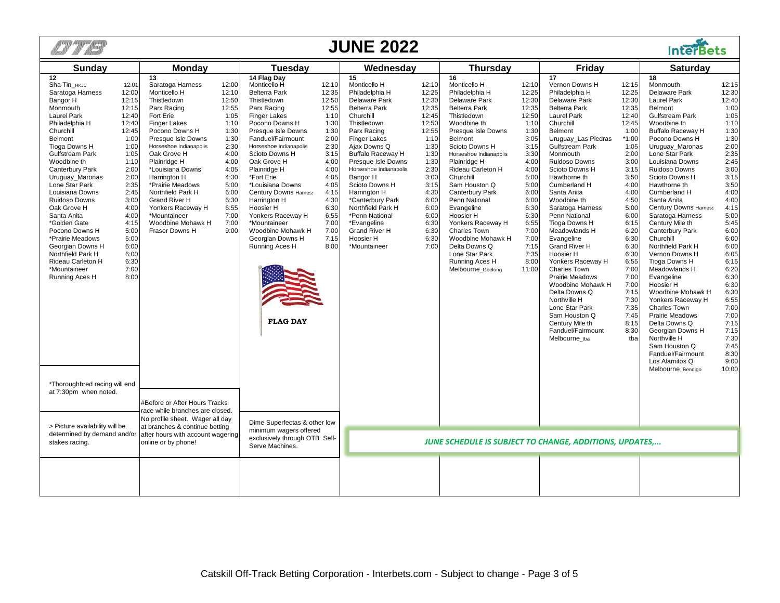| 775                                                                                                                                                                                                                                                                                                                                                                                                                                                                             |                                                                                                                                                                                                                     |                                                                                                                                                                                                                                                                                                                                                                                     |                                                                                                                                                                  |                                                                                                                                                                                                                                                                                                                                                                                                                                                                    |                                                                                                                                                                                  | <b>JUNE 2022</b>                                                                                                                                                                                                                                                                                                                                                                                                  |                                                                                                                                                                                     |                                                                                                                                                                                                                                                                                                                                                                                                                                                                       |                                                                                                                                                                                                            |                                                                                                                                                                                                                                                                                                                                                                                                                                                                                                                                                                                                                                        |                                                                                                                                                                                                                                                                                      | InterBets                                                                                                                                                                                                                                                                                                                                                                                                                                                                                                                                                                                                                                                                                       |                                                                                                                                                                                                                                                                                                         |
|---------------------------------------------------------------------------------------------------------------------------------------------------------------------------------------------------------------------------------------------------------------------------------------------------------------------------------------------------------------------------------------------------------------------------------------------------------------------------------|---------------------------------------------------------------------------------------------------------------------------------------------------------------------------------------------------------------------|-------------------------------------------------------------------------------------------------------------------------------------------------------------------------------------------------------------------------------------------------------------------------------------------------------------------------------------------------------------------------------------|------------------------------------------------------------------------------------------------------------------------------------------------------------------|--------------------------------------------------------------------------------------------------------------------------------------------------------------------------------------------------------------------------------------------------------------------------------------------------------------------------------------------------------------------------------------------------------------------------------------------------------------------|----------------------------------------------------------------------------------------------------------------------------------------------------------------------------------|-------------------------------------------------------------------------------------------------------------------------------------------------------------------------------------------------------------------------------------------------------------------------------------------------------------------------------------------------------------------------------------------------------------------|-------------------------------------------------------------------------------------------------------------------------------------------------------------------------------------|-----------------------------------------------------------------------------------------------------------------------------------------------------------------------------------------------------------------------------------------------------------------------------------------------------------------------------------------------------------------------------------------------------------------------------------------------------------------------|------------------------------------------------------------------------------------------------------------------------------------------------------------------------------------------------------------|----------------------------------------------------------------------------------------------------------------------------------------------------------------------------------------------------------------------------------------------------------------------------------------------------------------------------------------------------------------------------------------------------------------------------------------------------------------------------------------------------------------------------------------------------------------------------------------------------------------------------------------|--------------------------------------------------------------------------------------------------------------------------------------------------------------------------------------------------------------------------------------------------------------------------------------|-------------------------------------------------------------------------------------------------------------------------------------------------------------------------------------------------------------------------------------------------------------------------------------------------------------------------------------------------------------------------------------------------------------------------------------------------------------------------------------------------------------------------------------------------------------------------------------------------------------------------------------------------------------------------------------------------|---------------------------------------------------------------------------------------------------------------------------------------------------------------------------------------------------------------------------------------------------------------------------------------------------------|
| <b>Sunday</b>                                                                                                                                                                                                                                                                                                                                                                                                                                                                   | <b>Monday</b>                                                                                                                                                                                                       |                                                                                                                                                                                                                                                                                                                                                                                     |                                                                                                                                                                  | <b>Tuesday</b>                                                                                                                                                                                                                                                                                                                                                                                                                                                     |                                                                                                                                                                                  |                                                                                                                                                                                                                                                                                                                                                                                                                   | Wednesday                                                                                                                                                                           |                                                                                                                                                                                                                                                                                                                                                                                                                                                                       | <b>Thursday</b>                                                                                                                                                                                            |                                                                                                                                                                                                                                                                                                                                                                                                                                                                                                                                                                                                                                        |                                                                                                                                                                                                                                                                                      | <b>Saturday</b>                                                                                                                                                                                                                                                                                                                                                                                                                                                                                                                                                                                                                                                                                 |                                                                                                                                                                                                                                                                                                         |
| 12<br>Sha Tin_HKJC<br>Saratoga Harness<br>Bangor H<br>Monmouth<br><b>Laurel Park</b><br>Philadelphia H<br>Churchill<br>Belmont<br><b>Tioga Downs H</b><br>Gulfstream Park<br>Woodbine th<br>Canterbury Park<br>Uruguay Maronas<br>Lone Star Park<br>Louisiana Downs<br>Ruidoso Downs<br>Oak Grove H<br>Santa Anita<br>*Golden Gate<br>Pocono Downs H<br>*Prairie Meadows<br>Georgian Downs H<br>Northfield Park H<br><b>Rideau Carleton H</b><br>*Mountaineer<br>Running Aces H | 12:01<br>12:00<br>12:15<br>12:15<br>12:40<br>12:40<br>12:45<br>1:00<br>1:00<br>1:05<br>1:10<br>2:00<br>2:00<br>2:35<br>2:45<br>3:00<br>4:00<br>4:00<br>4:15<br>5:00<br>5:00<br>6:00<br>6:00<br>6:30<br>7:00<br>8:00 | 13<br>Saratoga Harness<br>Monticello H<br>Thistledown<br>Parx Racing<br>Fort Erie<br><b>Finger Lakes</b><br>Pocono Downs H<br>Presque Isle Downs<br>Horseshoe Indianapolis<br>Oak Grove H<br>Plainridge H<br>*Louisiana Downs<br>Harrington H<br>*Prairie Meadows<br>Northfield Park H<br>Grand River H<br>Yonkers Raceway H<br>*Mountaineer<br>Woodbine Mohawk H<br>Fraser Downs H | 12:00<br>12:10<br>12:50<br>12:55<br>1:05<br>1:10<br>1:30<br>1:30<br>2:30<br>4:00<br>4:00<br>4:05<br>4:30<br>5:00<br>6:00<br>6:30<br>6:55<br>7:00<br>7:00<br>9:00 | 14 Flag Day<br>Monticello H<br><b>Belterra Park</b><br>Thistledown<br>Parx Racing<br><b>Finger Lakes</b><br>Pocono Downs H<br>Presque Isle Downs<br>Fanduel/Fairmount<br>Horseshoe Indianapolis<br>Scioto Downs H<br>Oak Grove H<br>Plainridge H<br>*Fort Erie<br>*Louisiana Downs<br><b>Century Downs Harness</b><br>Harrington H<br>Hoosier H<br>Yonkers Raceway H<br>*Mountaineer<br>Woodbine Mohawk H<br>Georgian Downs H<br>Running Aces H<br><b>FLAG DAY</b> | 12:10<br>12:35<br>12:50<br>12:55<br>1:10<br>1:30<br>1:30<br>2:00<br>2:30<br>3:15<br>4:00<br>4:00<br>4:05<br>4:05<br>4:15<br>4:30<br>6:30<br>6:55<br>7:00<br>7:00<br>7:15<br>8:00 | 15<br>Monticello H<br>Philadelphia H<br>Delaware Park<br><b>Belterra Park</b><br>Churchill<br>Thistledown<br>Parx Racing<br><b>Finger Lakes</b><br>Ajax Downs Q<br>Buffalo Raceway H<br>Presque Isle Downs<br>Horseshoe Indianapolis<br>Bangor H<br>Scioto Downs H<br>Harrington H<br>*Canterbury Park<br>Northfield Park H<br>*Penn National<br>*Evangeline<br><b>Grand River H</b><br>Hoosier H<br>*Mountaineer | 12:10<br>12:25<br>12:30<br>12:35<br>12:45<br>12:50<br>12:55<br>1:10<br>1:30<br>1:30<br>1:30<br>2:30<br>3:00<br>3:15<br>4:30<br>6:00<br>6:00<br>6:00<br>6:30<br>6:30<br>6:30<br>7:00 | 16<br>Monticello H<br>Philadelphia H<br>Delaware Park<br><b>Belterra Park</b><br>Thistledown<br>Woodbine th<br>Presque Isle Downs<br>Belmont<br>Scioto Downs H<br>Horseshoe Indianapolis<br>Plainridge H<br>Rideau Carleton H<br>Churchill<br>Sam Houston Q<br>Canterbury Park<br>Penn National<br>Evangeline<br>Hoosier H<br>Yonkers Raceway H<br><b>Charles Town</b><br>Woodbine Mohawk H<br>Delta Downs Q<br>Lone Star Park<br>Running Aces H<br>Melbourne Geelong | 12:10<br>12:25<br>12:30<br>12:35<br>12:50<br>1:10<br>1:30<br>3:05<br>3:15<br>3:30<br>4:00<br>4:00<br>5:00<br>5:00<br>6:00<br>6:00<br>6:30<br>6:30<br>6:55<br>7:00<br>7:00<br>7:15<br>7:35<br>8:00<br>11:00 | 17<br>Vernon Downs H<br>Philadelphia H<br>Delaware Park<br><b>Belterra Park</b><br><b>Laurel Park</b><br>Churchill<br>Belmont<br>Uruguay_Las Piedras<br><b>Gulfstream Park</b><br>Monmouth<br>Ruidoso Downs<br>Scioto Downs H<br>Hawthorne th<br>Cumberland H<br>Santa Anita<br>Woodbine th<br>Saratoga Harness<br>Penn National<br>Tioga Downs H<br>Meadowlands H<br>Evangeline<br>Grand River H<br>Hoosier H<br>Yonkers Raceway H<br><b>Charles Town</b><br><b>Prairie Meadows</b><br>Woodbine Mohawk H<br>Delta Downs Q<br>Northville H<br>Lone Star Park<br>Sam Houston Q<br>Century Mile th<br>Fanduel/Fairmount<br>Melbourne_tba | 12:15<br>12:25<br>12:30<br>12:35<br>12:40<br>12:45<br>1:00<br>$*1:00$<br>1:05<br>2:00<br>3:00<br>3:15<br>3:50<br>4:00<br>4:00<br>4:50<br>5:00<br>6:00<br>6:15<br>6:20<br>6:30<br>6:30<br>6:30<br>6:55<br>7:00<br>7:00<br>7:00<br>7:15<br>7:30<br>7:35<br>7:45<br>8:15<br>8:30<br>tba | 18<br>Monmouth<br>Delaware Park<br>Laurel Park<br>Belmont<br><b>Gulfstream Park</b><br>Woodbine th<br>Buffalo Raceway H<br>Pocono Downs H<br>Uruguay Maronas<br>Lone Star Park<br>Louisiana Downs<br>Ruidoso Downs<br>Scioto Downs H<br>Hawthorne th<br>Cumberland H<br>Santa Anita<br><b>Century Downs Harness</b><br>Saratoga Harness<br>Century Mile th<br>Canterbury Park<br>Churchill<br>Northfield Park H<br>Vernon Downs H<br>Tioga Downs H<br>Meadowlands H<br>Evangeline<br>Hoosier H<br>Woodbine Mohawk H<br>Yonkers Raceway H<br>Charles Town<br><b>Prairie Meadows</b><br>Delta Downs Q<br>Georgian Downs H<br>Northville H<br>Sam Houston Q<br>Fanduel/Fairmount<br>Los Alamitos Q | 12:15<br>12:30<br>12:40<br>1:00<br>1:05<br>1:10<br>1:30<br>1:30<br>2:00<br>2:35<br>2:45<br>3:00<br>3:15<br>3:50<br>4:00<br>4:00<br>4:15<br>5:00<br>5:45<br>6:00<br>6:00<br>6:00<br>6:05<br>6:15<br>6:20<br>6:30<br>6:30<br>6:30<br>6:55<br>7:00<br>7:00<br>7:15<br>7:15<br>7:30<br>7:45<br>8:30<br>9:00 |
| *Thoroughbred racing will end<br>at 7:30pm when noted.                                                                                                                                                                                                                                                                                                                                                                                                                          |                                                                                                                                                                                                                     | #Before or After Hours Tracks<br>race while branches are closed.                                                                                                                                                                                                                                                                                                                    |                                                                                                                                                                  |                                                                                                                                                                                                                                                                                                                                                                                                                                                                    |                                                                                                                                                                                  |                                                                                                                                                                                                                                                                                                                                                                                                                   |                                                                                                                                                                                     |                                                                                                                                                                                                                                                                                                                                                                                                                                                                       |                                                                                                                                                                                                            |                                                                                                                                                                                                                                                                                                                                                                                                                                                                                                                                                                                                                                        |                                                                                                                                                                                                                                                                                      | Melbourne_Bendigo                                                                                                                                                                                                                                                                                                                                                                                                                                                                                                                                                                                                                                                                               | 10:00                                                                                                                                                                                                                                                                                                   |
|                                                                                                                                                                                                                                                                                                                                                                                                                                                                                 | No profile sheet. Wager all day<br>> Picture availability will be<br>at branches & continue betting<br>determined by demand and/or after hours with account wagering                                                |                                                                                                                                                                                                                                                                                                                                                                                     |                                                                                                                                                                  | Dime Superfectas & other low<br>minimum wagers offered<br>exclusively through OTB Self-                                                                                                                                                                                                                                                                                                                                                                            |                                                                                                                                                                                  |                                                                                                                                                                                                                                                                                                                                                                                                                   |                                                                                                                                                                                     |                                                                                                                                                                                                                                                                                                                                                                                                                                                                       |                                                                                                                                                                                                            |                                                                                                                                                                                                                                                                                                                                                                                                                                                                                                                                                                                                                                        |                                                                                                                                                                                                                                                                                      |                                                                                                                                                                                                                                                                                                                                                                                                                                                                                                                                                                                                                                                                                                 |                                                                                                                                                                                                                                                                                                         |
| stakes racing.                                                                                                                                                                                                                                                                                                                                                                                                                                                                  |                                                                                                                                                                                                                     | online or by phone!                                                                                                                                                                                                                                                                                                                                                                 |                                                                                                                                                                  | Serve Machines.                                                                                                                                                                                                                                                                                                                                                                                                                                                    |                                                                                                                                                                                  |                                                                                                                                                                                                                                                                                                                                                                                                                   |                                                                                                                                                                                     |                                                                                                                                                                                                                                                                                                                                                                                                                                                                       |                                                                                                                                                                                                            | <b>JUNE SCHEDULE IS SUBJECT TO CHANGE, ADDITIONS, UPDATES,</b>                                                                                                                                                                                                                                                                                                                                                                                                                                                                                                                                                                         |                                                                                                                                                                                                                                                                                      |                                                                                                                                                                                                                                                                                                                                                                                                                                                                                                                                                                                                                                                                                                 |                                                                                                                                                                                                                                                                                                         |
|                                                                                                                                                                                                                                                                                                                                                                                                                                                                                 |                                                                                                                                                                                                                     |                                                                                                                                                                                                                                                                                                                                                                                     |                                                                                                                                                                  |                                                                                                                                                                                                                                                                                                                                                                                                                                                                    |                                                                                                                                                                                  |                                                                                                                                                                                                                                                                                                                                                                                                                   |                                                                                                                                                                                     |                                                                                                                                                                                                                                                                                                                                                                                                                                                                       |                                                                                                                                                                                                            |                                                                                                                                                                                                                                                                                                                                                                                                                                                                                                                                                                                                                                        |                                                                                                                                                                                                                                                                                      |                                                                                                                                                                                                                                                                                                                                                                                                                                                                                                                                                                                                                                                                                                 |                                                                                                                                                                                                                                                                                                         |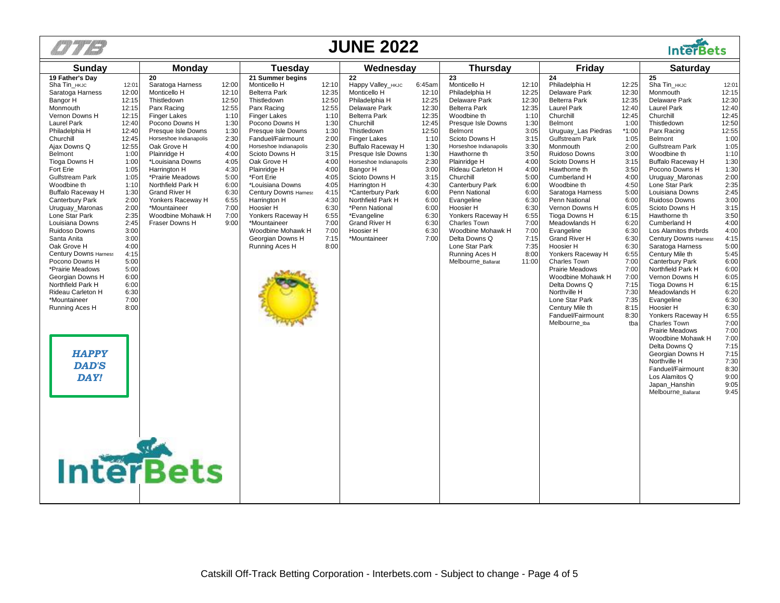| 775                                                                                                                                                                                                                                                                                                                                                                                                                                                                                                                                                                                                                      | <b>JUNE 2022</b>                                                                                                                                                                                                                                      |                                                                                                                                                                                                                                                                                                                                                                                                   |                                                                                                                                                          |                                                                                                                                                                                                                                                                                                                                                                                                                                                      |                                                                                                                                                                                  |                                                                                                                                                                                                                                                                                                                                                                                                                |                                                                                                                                                                              |                                                                                                                                                                                                                                                                                                                                                                                                                                                               |                                                                                                                                                                                                   |                                                                                                                                                                                                                                                                                                                                                                                                                                                                                                                                                                                                                      | <b>InterBets</b>                                                                                                                                                                                                                                                    |                                                                                                                                                                                                                                                                                                                                                                                                                                                                                                                                                                                                                                                                                                                                                                                            |                                                                                                                                                                                                                                                                                                                                             |
|--------------------------------------------------------------------------------------------------------------------------------------------------------------------------------------------------------------------------------------------------------------------------------------------------------------------------------------------------------------------------------------------------------------------------------------------------------------------------------------------------------------------------------------------------------------------------------------------------------------------------|-------------------------------------------------------------------------------------------------------------------------------------------------------------------------------------------------------------------------------------------------------|---------------------------------------------------------------------------------------------------------------------------------------------------------------------------------------------------------------------------------------------------------------------------------------------------------------------------------------------------------------------------------------------------|----------------------------------------------------------------------------------------------------------------------------------------------------------|------------------------------------------------------------------------------------------------------------------------------------------------------------------------------------------------------------------------------------------------------------------------------------------------------------------------------------------------------------------------------------------------------------------------------------------------------|----------------------------------------------------------------------------------------------------------------------------------------------------------------------------------|----------------------------------------------------------------------------------------------------------------------------------------------------------------------------------------------------------------------------------------------------------------------------------------------------------------------------------------------------------------------------------------------------------------|------------------------------------------------------------------------------------------------------------------------------------------------------------------------------|---------------------------------------------------------------------------------------------------------------------------------------------------------------------------------------------------------------------------------------------------------------------------------------------------------------------------------------------------------------------------------------------------------------------------------------------------------------|---------------------------------------------------------------------------------------------------------------------------------------------------------------------------------------------------|----------------------------------------------------------------------------------------------------------------------------------------------------------------------------------------------------------------------------------------------------------------------------------------------------------------------------------------------------------------------------------------------------------------------------------------------------------------------------------------------------------------------------------------------------------------------------------------------------------------------|---------------------------------------------------------------------------------------------------------------------------------------------------------------------------------------------------------------------------------------------------------------------|--------------------------------------------------------------------------------------------------------------------------------------------------------------------------------------------------------------------------------------------------------------------------------------------------------------------------------------------------------------------------------------------------------------------------------------------------------------------------------------------------------------------------------------------------------------------------------------------------------------------------------------------------------------------------------------------------------------------------------------------------------------------------------------------|---------------------------------------------------------------------------------------------------------------------------------------------------------------------------------------------------------------------------------------------------------------------------------------------------------------------------------------------|
| Sundav                                                                                                                                                                                                                                                                                                                                                                                                                                                                                                                                                                                                                   | <b>Monday</b>                                                                                                                                                                                                                                         |                                                                                                                                                                                                                                                                                                                                                                                                   | <b>Tuesday</b>                                                                                                                                           |                                                                                                                                                                                                                                                                                                                                                                                                                                                      | Wednesday                                                                                                                                                                        |                                                                                                                                                                                                                                                                                                                                                                                                                | <b>Thursday</b>                                                                                                                                                              |                                                                                                                                                                                                                                                                                                                                                                                                                                                               | Friday                                                                                                                                                                                            |                                                                                                                                                                                                                                                                                                                                                                                                                                                                                                                                                                                                                      | <b>Saturday</b>                                                                                                                                                                                                                                                     |                                                                                                                                                                                                                                                                                                                                                                                                                                                                                                                                                                                                                                                                                                                                                                                            |                                                                                                                                                                                                                                                                                                                                             |
| 19 Father's Dav<br>Sha Tin_HKJC<br>Saratoga Harness<br>Bangor H<br>Monmouth<br>Vernon Downs H<br>Laurel Park<br>Philadelphia H<br>Churchill<br>Ajax Downs Q<br><b>Belmont</b><br>Tioga Downs H<br>Fort Erie<br>Gulfstream Park<br>Woodbine th<br><b>Buffalo Raceway H</b><br>Canterbury Park<br>Uruguay_Maronas<br>Lone Star Park<br>Louisiana Downs<br><b>Ruidoso Downs</b><br>Santa Anita<br>Oak Grove H<br><b>Century Downs Harness</b><br>Pocono Downs H<br>*Prairie Meadows<br>Georgian Downs H<br>Northfield Park H<br>Rideau Carleton H<br>*Mountaineer<br>Running Aces H<br><b>HAPPY</b><br><b>DAD'S</b><br>DAY! | 12:01<br>12:00<br>12:15<br>12:15<br>12:15<br>12:40<br>12:40<br>12:45<br>12:55<br>1:00<br>1:00<br>1:05<br>1:05<br>1:10<br>1:30<br>2:00<br>2:00<br>2:35<br>2:45<br>3:00<br>3:00<br>4:00<br>4:15<br>5:00<br>5:00<br>6:00<br>6:00<br>6:30<br>7:00<br>8:00 | 20<br>Saratoga Harness<br>Monticello H<br>Thistledown<br>Parx Racing<br><b>Finger Lakes</b><br>Pocono Downs H<br>Presque Isle Downs<br>Horseshoe Indianapolis<br>Oak Grove H<br>Plainridge H<br>*Louisiana Downs<br>Harrington H<br>*Prairie Meadows<br>Northfield Park H<br><b>Grand River H</b><br>Yonkers Raceway H<br>*Mountaineer<br>Woodbine Mohawk H<br>Fraser Downs H<br><b>InterBets</b> | 12:00<br>12:10<br>12:50<br>12:55<br>1:10<br>1:30<br>1:30<br>2:30<br>4:00<br>4:00<br>4:05<br>4:30<br>5:00<br>6:00<br>6:30<br>6:55<br>7:00<br>7:00<br>9:00 | 21 Summer beains<br>Monticello H<br><b>Belterra Park</b><br>Thistledown<br>Parx Racing<br><b>Finger Lakes</b><br>Pocono Downs H<br>Presque Isle Downs<br>Fanduel/Fairmount<br>Horseshoe Indianapolis<br>Scioto Downs H<br>Oak Grove H<br>Plainridge H<br>*Fort Erie<br>*Louisiana Downs<br><b>Century Downs Harness</b><br>Harrington H<br>Hoosier H<br>Yonkers Raceway H<br>*Mountaineer<br>Woodbine Mohawk H<br>Georgian Downs H<br>Running Aces H | 12:10<br>12:35<br>12:50<br>12:55<br>1:10<br>1:30<br>1:30<br>2:00<br>2:30<br>3:15<br>4:00<br>4:00<br>4:05<br>4:05<br>4:15<br>4:30<br>6:30<br>6:55<br>7:00<br>7:00<br>7:15<br>8:00 | 22<br>Happy Valley_HKJC<br>Monticello H<br>Philadelphia H<br><b>Delaware Park</b><br><b>Belterra Park</b><br>Churchill<br>Thistledown<br><b>Finger Lakes</b><br>Buffalo Raceway H<br>Presque Isle Downs<br>Horseshoe Indianapolis<br>Bangor H<br>Scioto Downs H<br>Harrington H<br>*Canterbury Park<br>Northfield Park H<br>*Penn National<br>*Evangeline<br><b>Grand River H</b><br>Hoosier H<br>*Mountaineer | 6:45am<br>12:10<br>12:25<br>12:30<br>12:35<br>12:45<br>12:50<br>1:10<br>1:30<br>1:30<br>2:30<br>3:00<br>3:15<br>4:30<br>6:00<br>6:00<br>6:00<br>6:30<br>6:30<br>6:30<br>7:00 | 23<br>Monticello H<br>Philadelphia H<br>Delaware Park<br><b>Belterra Park</b><br>Woodbine th<br>Presque Isle Downs<br><b>Belmont</b><br>Scioto Downs H<br>Horseshoe Indianapolis<br>Hawthorne th<br>Plainridge H<br>Rideau Carleton H<br>Churchill<br>Canterbury Park<br>Penn National<br>Evangeline<br>Hoosier H<br>Yonkers Raceway H<br><b>Charles Town</b><br>Woodbine Mohawk H<br>Delta Downs Q<br>Lone Star Park<br>Running Aces H<br>Melbourne Ballarat | 12:10<br>12:25<br>12:30<br>12:35<br>1:10<br>1:30<br>3:05<br>3:15<br>3:30<br>3:50<br>4:00<br>4:00<br>5:00<br>6:00<br>6:00<br>6:30<br>6:30<br>6:55<br>7:00<br>7:00<br>7:15<br>7:35<br>8:00<br>11:00 | 24<br>Philadelphia H<br>Delaware Park<br><b>Belterra Park</b><br><b>Laurel Park</b><br>Churchill<br><b>Belmont</b><br>Uruguay_Las Piedras<br><b>Gulfstream Park</b><br>Monmouth<br>Ruidoso Downs<br>Scioto Downs H<br>Hawthorne th<br>Cumberland H<br>Woodbine th<br>Saratoga Harness<br>Penn National<br>Vernon Downs H<br>Tioga Downs H<br>Meadowlands H<br>Evangeline<br><b>Grand River H</b><br>Hoosier H<br>Yonkers Raceway H<br><b>Charles Town</b><br><b>Prairie Meadows</b><br>Woodbine Mohawk H<br>Delta Downs Q<br>Northville H<br>Lone Star Park<br>Century Mile th<br>Fanduel/Fairmount<br>Melbourne_tba | 12:25<br>12:30<br>12:35<br>12:40<br>12:45<br>1:00<br>$*1:00$<br>1:05<br>2:00<br>3:00<br>3:15<br>3:50<br>4:00<br>4:50<br>5:00<br>6:00<br>6:05<br>6:15<br>6:20<br>6:30<br>6:30<br>6:30<br>6:55<br>7:00<br>7:00<br>7:00<br>7:15<br>7:30<br>7:35<br>8:15<br>8:30<br>tba | 25<br>Sha Tin_HKJC<br>Monmouth<br>Delaware Park<br>Laurel Park<br>Churchill<br>Thistledown<br>Parx Racing<br><b>Belmont</b><br><b>Gulfstream Park</b><br>Woodbine th<br><b>Buffalo Raceway H</b><br>Pocono Downs H<br>Uruguay_Maronas<br>Lone Star Park<br>Louisiana Downs<br>Ruidoso Downs<br>Scioto Downs H<br>Hawthorne th<br>Cumberland H<br>Los Alamitos thrbrds<br><b>Century Downs Harness</b><br>Saratoga Harness<br>Century Mile th<br>Canterbury Park<br>Northfield Park H<br>Vernon Downs H<br>Tioga Downs H<br>Meadowlands H<br>Evangeline<br>Hoosier H<br>Yonkers Raceway H<br>Charles Town<br><b>Prairie Meadows</b><br>Woodbine Mohawk H<br>Delta Downs Q<br>Georgian Downs H<br>Northville H<br>Fanduel/Fairmount<br>Los Alamitos Q<br>Japan Hanshin<br>Melbourne Ballarat | 12:01<br>12:15<br>12:30<br>12:40<br>12:45<br>12:50<br>12:55<br>1:00<br>1:05<br>1:10<br>1:30<br>1:30<br>2:00<br>2:35<br>2:45<br>3:00<br>3:15<br>3:50<br>4:00<br>4:00<br>4:15<br>5:00<br>5:45<br>6:00<br>6:00<br>6:05<br>6:15<br>6:20<br>6:30<br>6:30<br>6:55<br>7:00<br>7:00<br>7:00<br>7:15<br>7:15<br>7:30<br>8:30<br>9:00<br>9:05<br>9:45 |